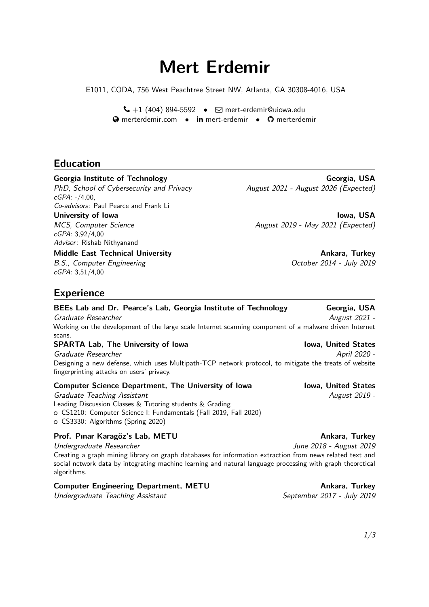# **Mert Erdemir**

E1011, CODA, 756 West Peachtree Street NW, Atlanta, GA 30308-4016, USA

 $\bigcup$  +1 (404) 894-5592 •  $\bigcirc$  [mert-erdemir@uiowa.edu](mailto:mert-erdemir@uiowa.edu)  $\Theta$  [merterdemir.com](http://merterdemir.com) • **in** [mert-erdemir](http://www.linkedin.com/in/mert-erdemir) • **O** [merterdemir](http://www.github.com/merterdemir)

# **Education**

PhD, School of Cybersecurity and Privacy August 2021 - August 2026 (Expected) cGPA: -/4,00, Co-advisors: Paul Pearce and Frank Li

cGPA: 3,92/4,00 Advisor: Rishab Nithyanand

**Middle East Technical University Ankara, Turkey Ankara, Turkey Ankara, Turkey** 

B.S., Computer Engineering The Computer Engineering Computer 2014 - July 2019 cGPA: 3,51/4,00

**Georgia Institute of Technology Georgia, USA**

**University of Iowa** Iowa Iowa, USA MCS, Computer Science **August 2019** - May 2021 (Expected)

# **Experience**

**BEEs Lab and Dr. Pearce's Lab, Georgia Institute of Technology Georgia, USA** Graduate Researcher August 2021 - Working on the development of the large scale Internet scanning component of a malware driven Internet scans.

# **SPARTA Lab, The University of Iowa Integrational Communist Communist Communist Communist Communist Communist Communist Communist Communist Communist Communist Communist Communist Communist Communist Communist Communist Co**

Graduate Researcher April 2020 - April 2020 - April 2020 - April 2020 - April 2020 -Designing a new defense, which uses Multipath-TCP network protocol, to mitigate the treats of website fingerprinting attacks on users' privacy.

#### **Computer Science Department, The University of Iowa Iowa, United States**

Graduate Teaching Assistant **August 2019** -Leading Discussion Classes & Tutoring students & Grading <sup>+</sup> CS1210: Computer Science I: Fundamentals (Fall 2019, Fall 2020) o CS3330: Algorithms (Spring 2020)

#### Prof. Pınar Karagöz's Lab, METU **Ankara, Turkey**

Undergraduate Researcher June 2018 - August 2019 Creating a graph mining library on graph databases for information extraction from news related text and social network data by integrating machine learning and natural language processing with graph theoretical algorithms.

# **Computer Engineering Department, METU Ankara, Turkey Ankara, Turkey**

Undergraduate Teaching Assistant September 2017 - July 2019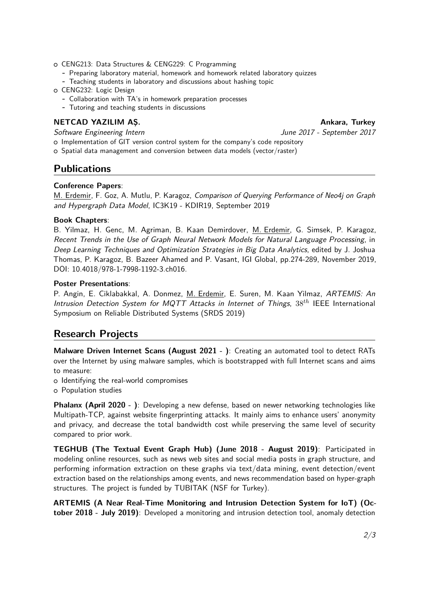- o CENG213: Data Structures & CENG229: C Programming
	- **-** Preparing laboratory material, homework and homework related laboratory quizzes
	- **-** Teaching students in laboratory and discussions about hashing topic
- o CENG232: Logic Design
	- **-** Collaboration with TA's in homework preparation processes
	- **-** Tutoring and teaching students in discussions

## **NETCAD YAZILIM AS.** Ankara, Turkey

Software Engineering Intern June 2017 - September 2017

- o Implementation of GIT version control system for the company's code repository
- o Spatial data management and conversion between data models (vector/raster)

# **Publications**

### **Conference Papers**:

M. Erdemir, F. Goz, A. Mutlu, P. Karagoz, Comparison of Querying Performance of Neo4j on Graph and Hypergraph Data Model, IC3K19 - KDIR19, September 2019

### **Book Chapters**:

B. Yilmaz, H. Genc, M. Agriman, B. Kaan Demirdover, M. Erdemir, G. Simsek, P. Karagoz, Recent Trends in the Use of Graph Neural Network Models for Natural Language Processing, in Deep Learning Techniques and Optimization Strategies in Big Data Analytics, edited by J. Joshua Thomas, P. Karagoz, B. Bazeer Ahamed and P. Vasant, IGI Global, pp.274-289, November 2019, DOI: 10.4018/978-1-7998-1192-3.ch016.

### **Poster Presentations**:

P. Angin, E. Ciklabakkal, A. Donmez, M. Erdemir, E. Suren, M. Kaan Yilmaz, ARTEMIS: An Intrusion Detection System for MQTT Attacks in Internet of Things, 38*th* IEEE International Symposium on Reliable Distributed Systems (SRDS 2019)

# **Research Projects**

**Malware Driven Internet Scans (August 2021 - )**: Creating an automated tool to detect RATs over the Internet by using malware samples, which is bootstrapped with full Internet scans and aims to measure:

- o Identifying the real-world compromises
- o Population studies

**Phalanx (April 2020 - )**: Developing a new defense, based on newer networking technologies like Multipath-TCP, against website fingerprinting attacks. It mainly aims to enhance users' anonymity and privacy, and decrease the total bandwidth cost while preserving the same level of security compared to prior work.

**TEGHUB (The Textual Event Graph Hub) (June 2018 - August 2019)**: Participated in modeling online resources, such as news web sites and social media posts in graph structure, and performing information extraction on these graphs via text/data mining, event detection/event extraction based on the relationships among events, and news recommendation based on hyper-graph structures. The project is funded by TUBITAK (NSF for Turkey).

**ARTEMIS (A Near Real-Time Monitoring and Intrusion Detection System for IoT) (October 2018 - July 2019)**: Developed a monitoring and intrusion detection tool, anomaly detection